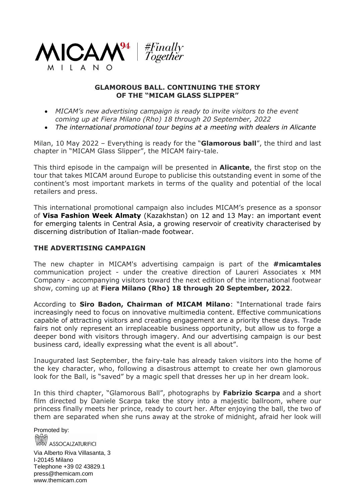

## **GLAMOROUS BALL. CONTINUING THE STORY OF THE "MICAM GLASS SLIPPER"**

- *MICAM's new advertising campaign is ready to invite visitors to the event coming up at Fiera Milano (Rho) 18 through 20 September, 2022*
- *The international promotional tour begins at a meeting with dealers in Alicante*

Milan, 10 May 2022 – Everything is ready for the "**Glamorous ball**", the third and last chapter in "MICAM Glass Slipper", the MICAM fairy-tale.

This third episode in the campaign will be presented in **Alicante**, the first stop on the tour that takes MICAM around Europe to publicise this outstanding event in some of the continent's most important markets in terms of the quality and potential of the local retailers and press.

This international promotional campaign also includes MICAM's presence as a sponsor of **Visa Fashion Week Almaty** (Kazakhstan) on 12 and 13 May: an important event for emerging talents in Central Asia, a growing reservoir of creativity characterised by discerning distribution of Italian-made footwear.

## **THE ADVERTISING CAMPAIGN**

The new chapter in MICAM's advertising campaign is part of the **#micamtales** communication project - under the creative direction of Laureri Associates x MM Company - accompanying visitors toward the next edition of the international footwear show, coming up at **Fiera Milano (Rho) 18 through 20 September, 2022**.

According to **Siro Badon, Chairman of MICAM Milano**: "International trade fairs increasingly need to focus on innovative multimedia content. Effective communications capable of attracting visitors and creating engagement are a priority these days. Trade fairs not only represent an irreplaceable business opportunity, but allow us to forge a deeper bond with visitors through imagery. And our advertising campaign is our best business card, ideally expressing what the event is all about".

Inaugurated last September, the fairy-tale has already taken visitors into the home of the key character, who, following a disastrous attempt to create her own glamorous look for the Ball, is "saved" by a magic spell that dresses her up in her dream look.

In this third chapter, "Glamorous Ball", photographs by **Fabrizio Scarpa** and a short film directed by Daniele Scarpa take the story into a majestic ballroom, where our princess finally meets her prince, ready to court her. After enjoying the ball, the two of them are separated when she runs away at the stroke of midnight, afraid her look will

Promoted by: **ASSOCALZATURIFICI** 

Via Alberto Riva Villasanta, 3 I-20145 Milano Telephone +39 02 43829.1 press@themicam.com www.themicam.com